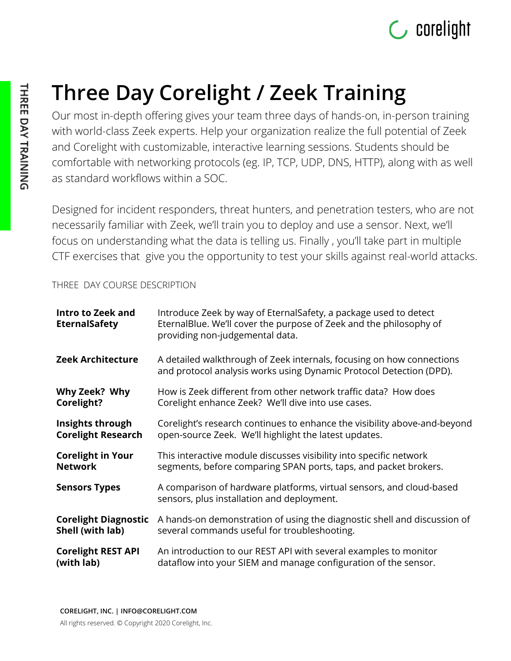

## **Three Day Corelight / Zeek Training**

Our most in-depth offering gives your team three days of hands-on, in-person training with world-class Zeek experts. Help your organization realize the full potential of Zeek and Corelight with customizable, interactive learning sessions. Students should be comfortable with networking protocols (eg. IP, TCP, UDP, DNS, HTTP), along with as well as standard workflows within a SOC.

Designed for incident responders, threat hunters, and penetration testers, who are not necessarily familiar with Zeek, we'll train you to deploy and use a sensor. Next, we'll focus on understanding what the data is telling us. Finally , you'll take part in multiple CTF exercises that give you the opportunity to test your skills against real-world attacks.

## THREE DAY COURSE DESCRIPTION

| Intro to Zeek and<br><b>EternalSafety</b> | Introduce Zeek by way of EternalSafety, a package used to detect<br>EternalBlue. We'll cover the purpose of Zeek and the philosophy of<br>providing non-judgemental data. |
|-------------------------------------------|---------------------------------------------------------------------------------------------------------------------------------------------------------------------------|
| <b>Zeek Architecture</b>                  | A detailed walkthrough of Zeek internals, focusing on how connections<br>and protocol analysis works using Dynamic Protocol Detection (DPD).                              |
| Why Zeek? Why                             | How is Zeek different from other network traffic data? How does                                                                                                           |
| Corelight?                                | Corelight enhance Zeek? We'll dive into use cases.                                                                                                                        |
| Insights through                          | Corelight's research continues to enhance the visibility above-and-beyond                                                                                                 |
| <b>Corelight Research</b>                 | open-source Zeek. We'll highlight the latest updates.                                                                                                                     |
| <b>Corelight in Your</b>                  | This interactive module discusses visibility into specific network                                                                                                        |
| <b>Network</b>                            | segments, before comparing SPAN ports, taps, and packet brokers.                                                                                                          |
| <b>Sensors Types</b>                      | A comparison of hardware platforms, virtual sensors, and cloud-based<br>sensors, plus installation and deployment.                                                        |
| <b>Corelight Diagnostic</b>               | A hands-on demonstration of using the diagnostic shell and discussion of                                                                                                  |
| Shell (with lab)                          | several commands useful for troubleshooting.                                                                                                                              |
| <b>Corelight REST API</b>                 | An introduction to our REST API with several examples to monitor                                                                                                          |
| (with lab)                                | dataflow into your SIEM and manage configuration of the sensor.                                                                                                           |